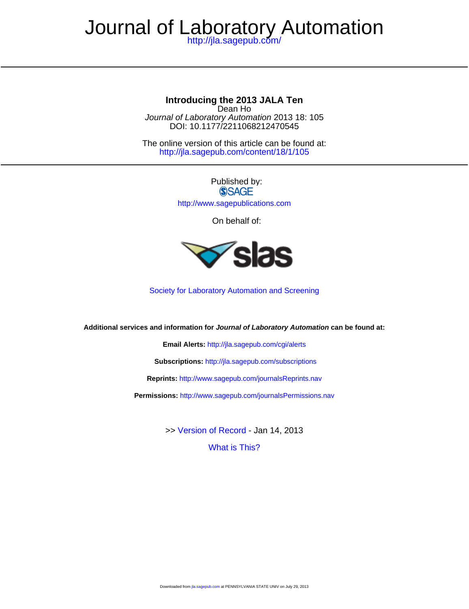# Journal of Laboratory Automation

<http://jla.sagepub.com/>

#### **Introducing the 2013 JALA Ten**

DOI: 10.1177/2211068212470545 Journal of Laboratory Automation 2013 18: 105 Dean Ho

<http://jla.sagepub.com/content/18/1/105> The online version of this article can be found at:

> Published by: **SSAGE** <http://www.sagepublications.com>

> > On behalf of:



[Society for Laboratory Automation and Screening](http://slas.org)

**Additional services and information for Journal of Laboratory Automation can be found at:**

**Email Alerts:** <http://jla.sagepub.com/cgi/alerts>

**Subscriptions:** <http://jla.sagepub.com/subscriptions>

**Reprints:** <http://www.sagepub.com/journalsReprints.nav>

**Permissions:** <http://www.sagepub.com/journalsPermissions.nav>

[What is This?](http://online.sagepub.com/site/sphelp/vorhelp.xhtml) >> [Version of Record -](http://jla.sagepub.com/content/18/1/105.full.pdf) Jan 14, 2013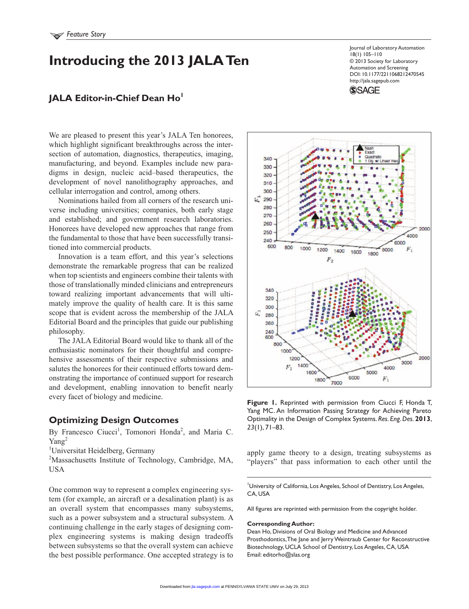## **Introducing the 2013 JALA Ten**

## **JALA Editor-in-Chief Dean Ho**

We are pleased to present this year's JALA Ten honorees, which highlight significant breakthroughs across the intersection of automation, diagnostics, therapeutics, imaging, manufacturing, and beyond. Examples include new paradigms in design, nucleic acid–based therapeutics, the development of novel nanolithography approaches, and cellular interrogation and control, among others.

Nominations hailed from all corners of the research universe including universities; companies, both early stage and established; and government research laboratories. Honorees have developed new approaches that range from the fundamental to those that have been successfully transitioned into commercial products.

Innovation is a team effort, and this year's selections demonstrate the remarkable progress that can be realized when top scientists and engineers combine their talents with those of translationally minded clinicians and entrepreneurs toward realizing important advancements that will ultimately improve the quality of health care. It is this same scope that is evident across the membership of the JALA Editorial Board and the principles that guide our publishing philosophy.

The JALA Editorial Board would like to thank all of the enthusiastic nominators for their thoughtful and comprehensive assessments of their respective submissions and salutes the honorees for their continued efforts toward demonstrating the importance of continued support for research and development, enabling innovation to benefit nearly every facet of biology and medicine.

#### **Optimizing Design Outcomes**

By Francesco Ciucci<sup>1</sup>, Tomonori Honda<sup>2</sup>, and Maria C. Yang<sup>2</sup>

<sup>1</sup>Universitat Heidelberg, Germany

<sup>2</sup>Massachusetts Institute of Technology, Cambridge, MA, USA

One common way to represent a complex engineering system (for example, an aircraft or a desalination plant) is as an overall system that encompasses many subsystems, such as a power subsystem and a structural subsystem. A continuing challenge in the early stages of designing complex engineering systems is making design tradeoffs between subsystems so that the overall system can achieve the best possible performance. One accepted strategy is to

**Figure 1.** Reprinted with permission from Ciucci F, Honda T, Yang MC. An Information Passing Strategy for Achieving Pareto Optimality in the Design of Complex Systems. *Res. Eng. Des*. **2013**, *23*(1), 71–83.

apply game theory to a design, treating subsystems as "players" that pass information to each other until the

<sup>1</sup>University of California, Los Angeles, School of Dentistry, Los Angeles, CA, USA

All figures are reprinted with permission from the copyright holder.

#### **Corresponding Author:**

Dean Ho, Divisions of Oral Biology and Medicine and Advanced Prosthodontics, The Jane and Jerry Weintraub Center for Reconstructive Biotechnology, UCLA School of Dentistry, Los Angeles, CA, USA Email: editorho@slas.org



18(1) 105–110

**SSAGE** 

Journal of Laboratory Automation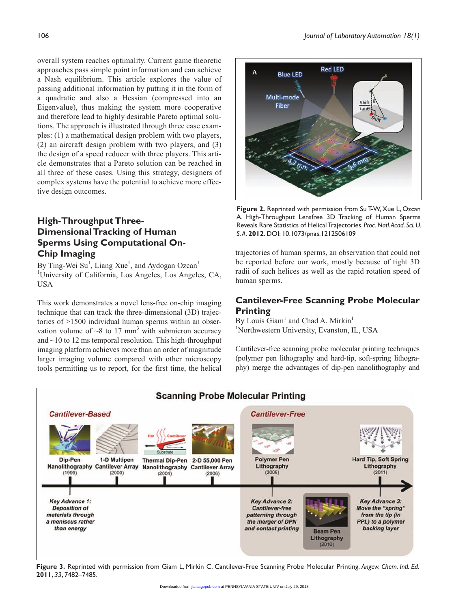overall system reaches optimality. Current game theoretic approaches pass simple point information and can achieve a Nash equilibrium. This article explores the value of passing additional information by putting it in the form of a quadratic and also a Hessian (compressed into an Eigenvalue), thus making the system more cooperative and therefore lead to highly desirable Pareto optimal solutions. The approach is illustrated through three case examples: (1) a mathematical design problem with two players, (2) an aircraft design problem with two players, and (3) the design of a speed reducer with three players. This article demonstrates that a Pareto solution can be reached in all three of these cases. Using this strategy, designers of complex systems have the potential to achieve more effective design outcomes.

#### **High-Throughput Three-Dimensional Tracking of Human Sperms Using Computational On-Chip Imaging**

By Ting-Wei Su<sup>1</sup>, Liang Xue<sup>1</sup>, and Aydogan Ozcan<sup>1</sup> <sup>1</sup>University of California, Los Angeles, Los Angeles, CA, USA

This work demonstrates a novel lens-free on-chip imaging technique that can track the three-dimensional (3D) trajectories of >1500 individual human sperms within an observation volume of  $\sim$ 8 to 17 mm<sup>3</sup> with submicron accuracy and  $\sim$ 10 to 12 ms temporal resolution. This high-throughput imaging platform achieves more than an order of magnitude larger imaging volume compared with other microscopy tools permitting us to report, for the first time, the helical



**Figure 2.** Reprinted with permission from Su T-W, Xue L, Ozcan A. High-Throughput Lensfree 3D Tracking of Human Sperms Reveals Rare Statistics of Helical Trajectories. *Proc. Natl. Acad. Sci. U. S. A*. **2012**. DOI: 10.1073/pnas.1212506109

trajectories of human sperms, an observation that could not be reported before our work, mostly because of tight 3D radii of such helices as well as the rapid rotation speed of human sperms.

#### **Cantilever-Free Scanning Probe Molecular Printing**

By Louis Giam<sup>1</sup> and Chad A. Mirkin<sup>1</sup> <sup>1</sup>Northwestern University, Evanston, IL, USA

Cantilever-free scanning probe molecular printing techniques (polymer pen lithography and hard-tip, soft-spring lithography) merge the advantages of dip-pen nanolithography and



**Figure 3.** Reprinted with permission from Giam L, Mirkin C. Cantilever-Free Scanning Probe Molecular Printing. *Angew. Chem. Intl. Ed.*  **2011**, *33*, 7482–7485.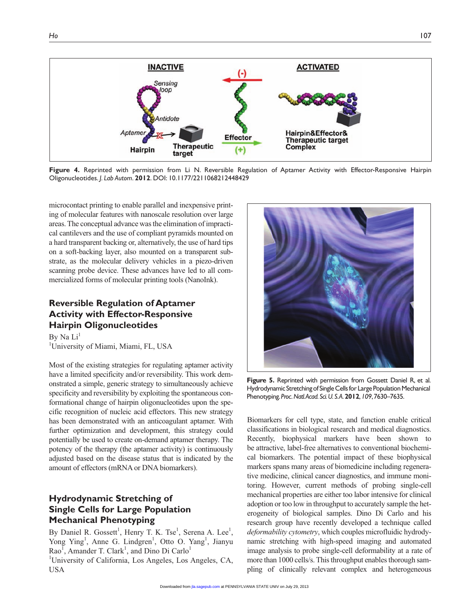

**Figure 4.** Reprinted with permission from Li N. Reversible Regulation of Aptamer Activity with Effector-Responsive Hairpin Oligonucleotides. *J. Lab Autom*. **2012**. DOI: 10.1177/2211068212448429

microcontact printing to enable parallel and inexpensive printing of molecular features with nanoscale resolution over large areas. The conceptual advance was the elimination of impractical cantilevers and the use of compliant pyramids mounted on a hard transparent backing or, alternatively, the use of hard tips on a soft-backing layer, also mounted on a transparent substrate, as the molecular delivery vehicles in a piezo-driven scanning probe device. These advances have led to all commercialized forms of molecular printing tools (NanoInk).

### **Reversible Regulation of Aptamer Activity with Effector-Responsive Hairpin Oligonucleotides**

By Na  $Li<sup>1</sup>$ <sup>1</sup>University of Miami, Miami, FL, USA

Most of the existing strategies for regulating aptamer activity have a limited specificity and/or reversibility. This work demonstrated a simple, generic strategy to simultaneously achieve specificity and reversibility by exploiting the spontaneous conformational change of hairpin oligonucleotides upon the specific recognition of nucleic acid effectors. This new strategy has been demonstrated with an anticoagulant aptamer. With further optimization and development, this strategy could potentially be used to create on-demand aptamer therapy. The potency of the therapy (the aptamer activity) is continuously adjusted based on the disease status that is indicated by the amount of effectors (mRNA or DNA biomarkers).

#### **Hydrodynamic Stretching of Single Cells for Large Population Mechanical Phenotyping**

By Daniel R. Gossett<sup>1</sup>, Henry T. K. Tse<sup>1</sup>, Serena A. Lee<sup>1</sup>, Yong Ying<sup>1</sup>, Anne G. Lindgren<sup>1</sup>, Otto O. Yang<sup>1</sup>, Jianyu  $Rao^{\overline{1}}$ , Amander T. Clark<sup>1</sup>, and Dino Di Carlo<sup>1</sup>

<sup>1</sup>University of California, Los Angeles, Los Angeles, CA, USA



**Figure 5.** Reprinted with permission from Gossett Daniel R, et al. Hydrodynamic Stretching of Single Cells for Large Population Mechanical Phenotyping. *Proc. Natl. Acad. Sci. U. S. A*. **2012**, *109*, 7630–7635.

Biomarkers for cell type, state, and function enable critical classifications in biological research and medical diagnostics. Recently, biophysical markers have been shown to be attractive, label-free alternatives to conventional biochemical biomarkers. The potential impact of these biophysical markers spans many areas of biomedicine including regenerative medicine, clinical cancer diagnostics, and immune monitoring. However, current methods of probing single-cell mechanical properties are either too labor intensive for clinical adoption or too low in throughput to accurately sample the heterogeneity of biological samples. Dino Di Carlo and his research group have recently developed a technique called *deformability cytometry*, which couples microfluidic hydrodynamic stretching with high-speed imaging and automated image analysis to probe single-cell deformability at a rate of more than 1000 cells/s. This throughput enables thorough sampling of clinically relevant complex and heterogeneous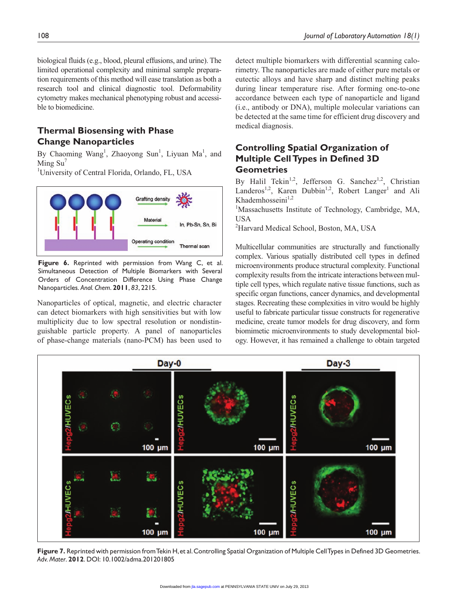biological fluids (e.g., blood, pleural effusions, and urine). The limited operational complexity and minimal sample preparation requirements of this method will ease translation as both a research tool and clinical diagnostic tool. Deformability cytometry makes mechanical phenotyping robust and accessible to biomedicine.

#### **Thermal Biosensing with Phase Change Nanoparticles**

By Chaoming Wang<sup>1</sup>, Zhaoyong Sun<sup>1</sup>, Liyuan Ma<sup>1</sup>, and Ming  $Su'$ 

<sup>1</sup>University of Central Florida, Orlando, FL, USA



**Figure 6.** Reprinted with permission from Wang C, et al. Simultaneous Detection of Multiple Biomarkers with Several Orders of Concentration Difference Using Phase Change Nanoparticles. *Anal. Chem*. **2011**, *83*, 2215.

Nanoparticles of optical, magnetic, and electric character can detect biomarkers with high sensitivities but with low multiplicity due to low spectral resolution or nondistinguishable particle property. A panel of nanoparticles of phase-change materials (nano-PCM) has been used to detect multiple biomarkers with differential scanning calorimetry. The nanoparticles are made of either pure metals or eutectic alloys and have sharp and distinct melting peaks during linear temperature rise. After forming one-to-one accordance between each type of nanoparticle and ligand (i.e., antibody or DNA), multiple molecular variations can be detected at the same time for efficient drug discovery and medical diagnosis.

#### **Controlling Spatial Organization of Multiple Cell Types in Defined 3D Geometries**

By Halil Tekin<sup>1,2</sup>, Jefferson G. Sanchez<sup>1,2</sup>, Christian Landeros<sup>1,2</sup>, Karen Dubbin<sup>1,2</sup>, Robert Langer<sup>1</sup> and Ali Khademhosseini<sup>1,2</sup>

<sup>1</sup>Massachusetts Institute of Technology, Cambridge, MA, USA

<sup>2</sup>Harvard Medical School, Boston, MA, USA

Multicellular communities are structurally and functionally complex. Various spatially distributed cell types in defined microenvironments produce structural complexity. Functional complexity results from the intricate interactions between multiple cell types, which regulate native tissue functions, such as specific organ functions, cancer dynamics, and developmental stages. Recreating these complexities in vitro would be highly useful to fabricate particular tissue constructs for regenerative medicine, create tumor models for drug discovery, and form biomimetic microenvironments to study developmental biology. However, it has remained a challenge to obtain targeted



**Figure 7.** Reprinted with permission from Tekin H, et al. Controlling Spatial Organization of Multiple Cell Types in Defined 3D Geometries. *Adv. Mater*. **2012**. DOI: 10.1002/adma.201201805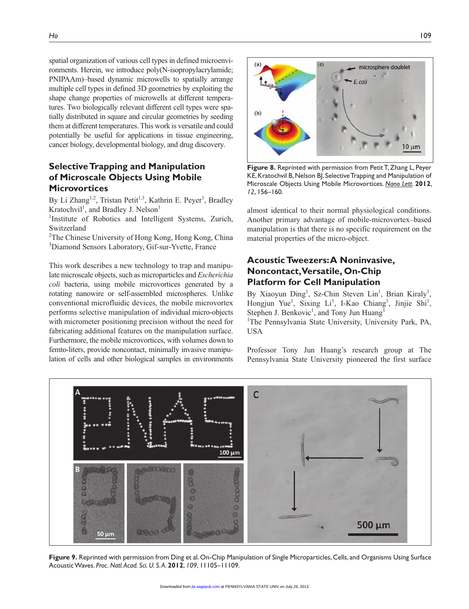spatial organization of various cell types in defined microenvironments. Herein, we introduce poly(N-isopropylacrylamide; PNIPAAm)–based dynamic microwells to spatially arrange multiple cell types in defined 3D geometries by exploiting the shape change properties of microwells at different temperatures. Two biologically relevant different cell types were spatially distributed in square and circular geometries by seeding them at different temperatures. This work is versatile and could potentially be useful for applications in tissue engineering, cancer biology, developmental biology, and drug discovery.

#### **Selective Trapping and Manipulation of Microscale Objects Using Mobile Microvortices**

By Li Zhang<sup>1,2</sup>, Tristan Petit<sup>1,3</sup>, Kathrin E. Peyer<sup>1</sup>, Bradley Kratochvil<sup>1</sup>, and Bradley J. Nelson<sup>1</sup>

<sup>1</sup>Institute of Robotics and Intelligent Systems, Zurich, Switzerland

<sup>2</sup>The Chinese University of Hong Kong, Hong Kong, China 3 Diamond Sensors Laboratory, Gif-sur-Yvette, France

This work describes a new technology to trap and manipulate microscale objects, such as microparticles and *Escherichia coli* bacteria, using mobile microvortices generated by a rotating nanowire or self-assembled microspheres. Unlike conventional microfluidic devices, the mobile microvortex performs selective manipulation of individual micro-objects with micrometer positioning precision without the need for fabricating additional features on the manipulation surface. Furthermore, the mobile microvortices, with volumes down to femto-liters, provide noncontact, minimally invasive manipulation of cells and other biological samples in environments



**Figure 8.** Reprinted with permission from Petit T, Zhang L, Peyer KE, Kratochvil B, Nelson BJ. Selective Trapping and Manipulation of Microscale Objects Using Mobile Microvortices. *Nano Lett*. **2012**, *12*, 156–160.

almost identical to their normal physiological conditions. Another primary advantage of mobile-microvortex–based manipulation is that there is no specific requirement on the material properties of the micro-object.

#### **Acoustic Tweezers: A Noninvasive, Noncontact, Versatile, On-Chip Platform for Cell Manipulation**

By Xiaoyun Ding<sup>1</sup>, Sz-Chin Steven Lin<sup>1</sup>, Brian Kiraly<sup>1</sup>, Hongjun Yue<sup>1</sup>, Sixing Li<sup>1</sup>, I-Kao Chiang<sup>1</sup>, Jinjie Shi<sup>1</sup>, Stephen J. Benkovic<sup>1</sup>, and Tony Jun Huang<sup>1</sup>

<sup>1</sup>The Pennsylvania State University, University Park, PA, USA

Professor Tony Jun Huang's research group at The Pennsylvania State University pioneered the first surface



**Figure 9.** Reprinted with permission from Ding et al. On-Chip Manipulation of Single Microparticles, Cells, and Organisms Using Surface Acoustic Waves. *Proc. Natl. Acad. Sci. U. S. A*. **2012**, *109*, 11105–11109.